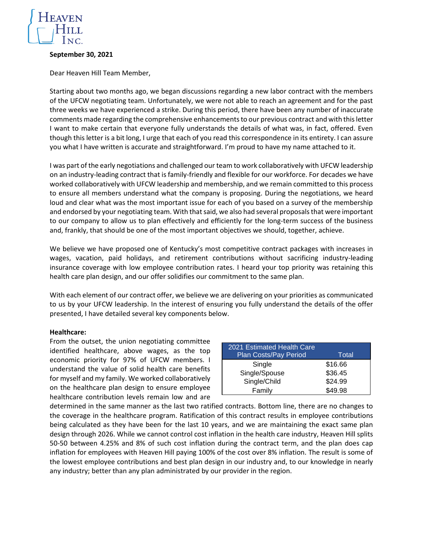

### **September 30, 2021**

Dear Heaven Hill Team Member,

Starting about two months ago, we began discussions regarding a new labor contract with the members of the UFCW negotiating team. Unfortunately, we were not able to reach an agreement and for the past three weeks we have experienced a strike. During this period, there have been any number of inaccurate comments made regarding the comprehensive enhancements to our previous contract and with this letter I want to make certain that everyone fully understands the details of what was, in fact, offered. Even though this letter is a bit long, I urge that each of you read this correspondence in its entirety. I can assure you what I have written is accurate and straightforward. I'm proud to have my name attached to it.

I was part of the early negotiations and challenged our team to work collaboratively with UFCW leadership on an industry-leading contract that is family-friendly and flexible for our workforce. For decades we have worked collaboratively with UFCW leadership and membership, and we remain committed to this process to ensure all members understand what the company is proposing. During the negotiations, we heard loud and clear what was the most important issue for each of you based on a survey of the membership and endorsed by your negotiating team. With that said, we also had several proposals that were important to our company to allow us to plan effectively and efficiently for the long-term success of the business and, frankly, that should be one of the most important objectives we should, together, achieve.

We believe we have proposed one of Kentucky's most competitive contract packages with increases in wages, vacation, paid holidays, and retirement contributions without sacrificing industry-leading insurance coverage with low employee contribution rates. I heard your top priority was retaining this health care plan design, and our offer solidifies our commitment to the same plan.

With each element of our contract offer, we believe we are delivering on your priorities as communicated to us by your UFCW leadership. In the interest of ensuring you fully understand the details of the offer presented, I have detailed several key components below.

# **Healthcare:**

From the outset, the union negotiating committee identified healthcare, above wages, as the top economic priority for 97% of UFCW members. I understand the value of solid health care benefits for myself and my family. We worked collaboratively on the healthcare plan design to ensure employee healthcare contribution levels remain low and are

| 2021 Estimated Health Care |         |
|----------------------------|---------|
| Plan Costs/Pay Period      | Total   |
| Single                     | \$16.66 |
| Single/Spouse              | \$36.45 |
| Single/Child               | \$24.99 |
| Family                     | \$49.98 |

determined in the same manner as the last two ratified contracts. Bottom line, there are no changes to the coverage in the healthcare program. Ratification of this contract results in employee contributions being calculated as they have been for the last 10 years, and we are maintaining the exact same plan design through 2026. While we cannot control cost inflation in the health care industry, Heaven Hill splits 50-50 between 4.25% and 8% of such cost inflation during the contract term, and the plan does cap inflation for employees with Heaven Hill paying 100% of the cost over 8% inflation. The result is some of the lowest employee contributions and best plan design in our industry and, to our knowledge in nearly any industry; better than any plan administrated by our provider in the region.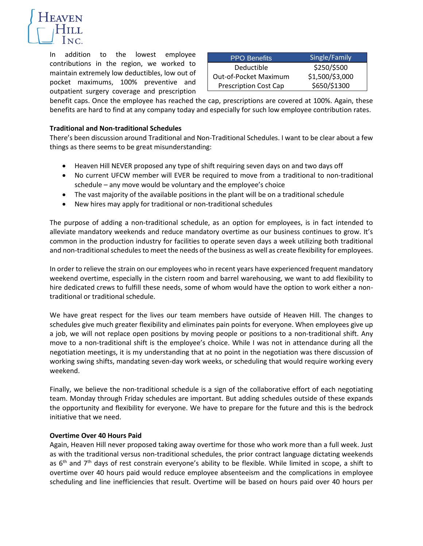# **EAVEN**

In addition to the lowest employee contributions in the region, we worked to maintain extremely low deductibles, low out of pocket maximums, 100% preventive and outpatient surgery coverage and prescription

| <b>PPO</b> Benefits          | Single/Family   |
|------------------------------|-----------------|
| <b>Deductible</b>            | \$250/\$500     |
| Out-of-Pocket Maximum        | \$1,500/\$3,000 |
| <b>Prescription Cost Cap</b> | \$650/\$1300    |

benefit caps. Once the employee has reached the cap, prescriptions are covered at 100%. Again, these benefits are hard to find at any company today and especially for such low employee contribution rates.

# **Traditional and Non-traditional Schedules**

There's been discussion around Traditional and Non-Traditional Schedules. I want to be clear about a few things as there seems to be great misunderstanding:

- Heaven Hill NEVER proposed any type of shift requiring seven days on and two days off
- No current UFCW member will EVER be required to move from a traditional to non-traditional schedule – any move would be voluntary and the employee's choice
- The vast majority of the available positions in the plant will be on a traditional schedule
- New hires may apply for traditional or non-traditional schedules

The purpose of adding a non-traditional schedule, as an option for employees, is in fact intended to alleviate mandatory weekends and reduce mandatory overtime as our business continues to grow. It's common in the production industry for facilities to operate seven days a week utilizing both traditional and non-traditional schedules to meet the needs of the business as well as create flexibility for employees.

In order to relieve the strain on our employees who in recent years have experienced frequent mandatory weekend overtime, especially in the cistern room and barrel warehousing, we want to add flexibility to hire dedicated crews to fulfill these needs, some of whom would have the option to work either a nontraditional or traditional schedule.

We have great respect for the lives our team members have outside of Heaven Hill. The changes to schedules give much greater flexibility and eliminates pain points for everyone. When employees give up a job, we will not replace open positions by moving people or positions to a non-traditional shift. Any move to a non-traditional shift is the employee's choice. While I was not in attendance during all the negotiation meetings, it is my understanding that at no point in the negotiation was there discussion of working swing shifts, mandating seven-day work weeks, or scheduling that would require working every weekend.

Finally, we believe the non-traditional schedule is a sign of the collaborative effort of each negotiating team. Monday through Friday schedules are important. But adding schedules outside of these expands the opportunity and flexibility for everyone. We have to prepare for the future and this is the bedrock initiative that we need.

# **Overtime Over 40 Hours Paid**

Again, Heaven Hill never proposed taking away overtime for those who work more than a full week. Just as with the traditional versus non-traditional schedules, the prior contract language dictating weekends as  $6<sup>th</sup>$  and  $7<sup>th</sup>$  days of rest constrain everyone's ability to be flexible. While limited in scope, a shift to overtime over 40 hours paid would reduce employee absenteeism and the complications in employee scheduling and line inefficiencies that result. Overtime will be based on hours paid over 40 hours per